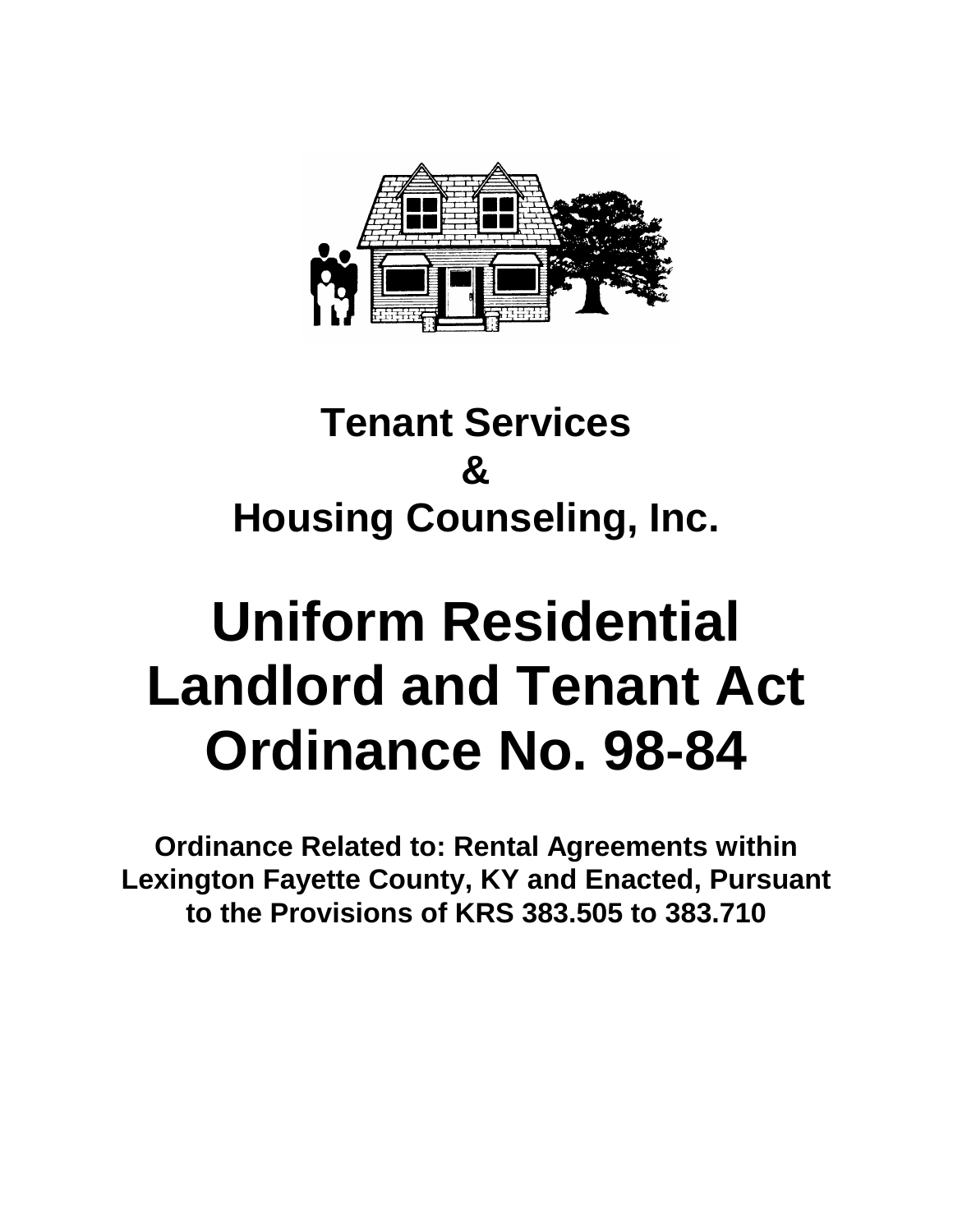

# **Tenant Services & Housing Counseling, Inc.**

# **Uniform Residential Landlord and Tenant Act Ordinance No. 98-84**

**Ordinance Related to: Rental Agreements within Lexington Fayette County, KY and Enacted, Pursuant to the Provisions of KRS 383.505 to 383.710**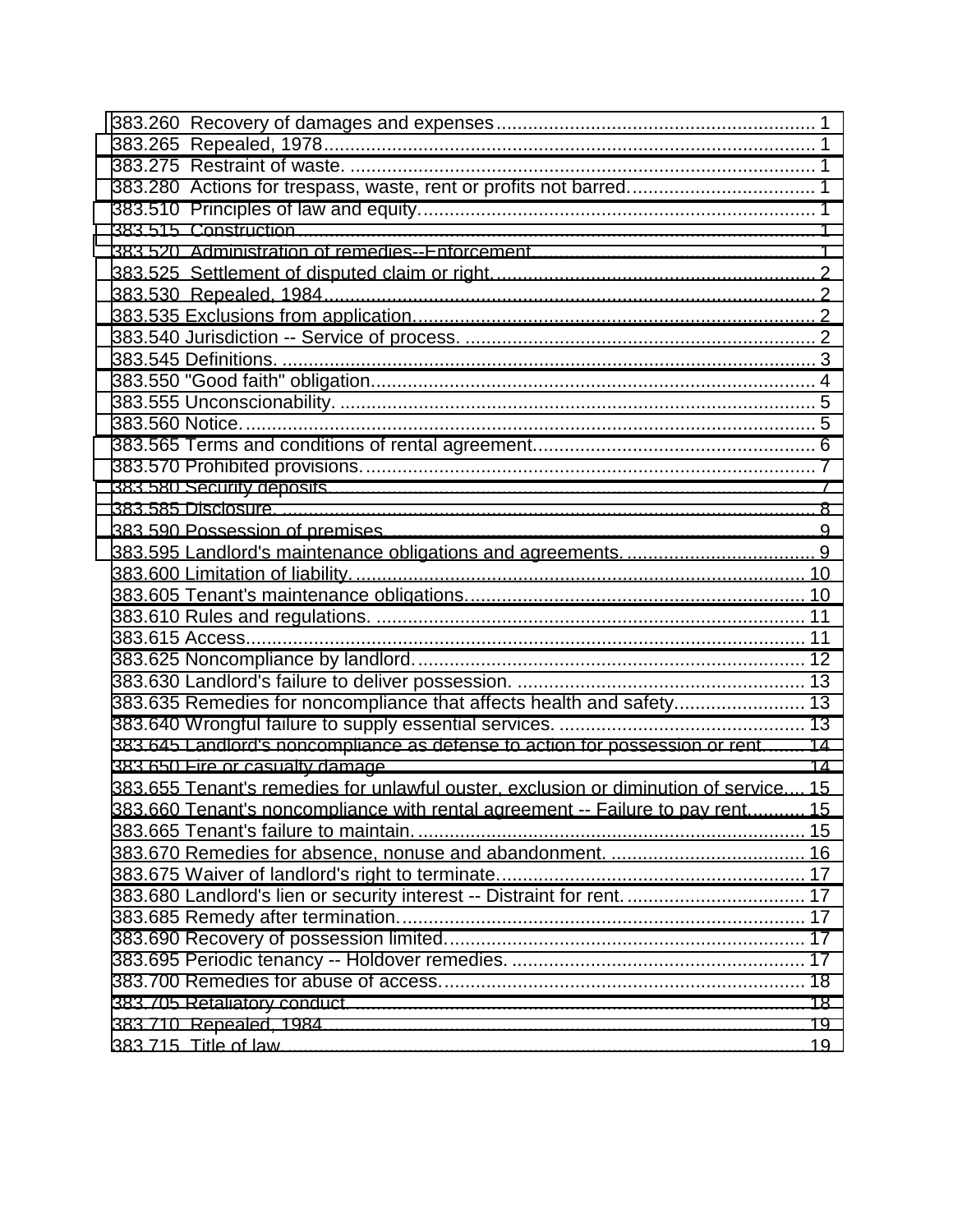| 383.635 Remedies for noncompliance that affects health and safety 13                 |  |
|--------------------------------------------------------------------------------------|--|
|                                                                                      |  |
| 383.645 Landlord's noncompliance as defense to action for possession or rent 14      |  |
|                                                                                      |  |
| 383.655 Tenant's remedies for unlawful ouster, exclusion or diminution of service 15 |  |
| 383.660 Tenant's noncompliance with rental agreement -- Failure to pay rent 15       |  |
|                                                                                      |  |
|                                                                                      |  |
|                                                                                      |  |
| 383.680 Landlord's lien or security interest -- Distraint for rent.  17              |  |
|                                                                                      |  |
|                                                                                      |  |
|                                                                                      |  |
|                                                                                      |  |
|                                                                                      |  |
|                                                                                      |  |
|                                                                                      |  |
|                                                                                      |  |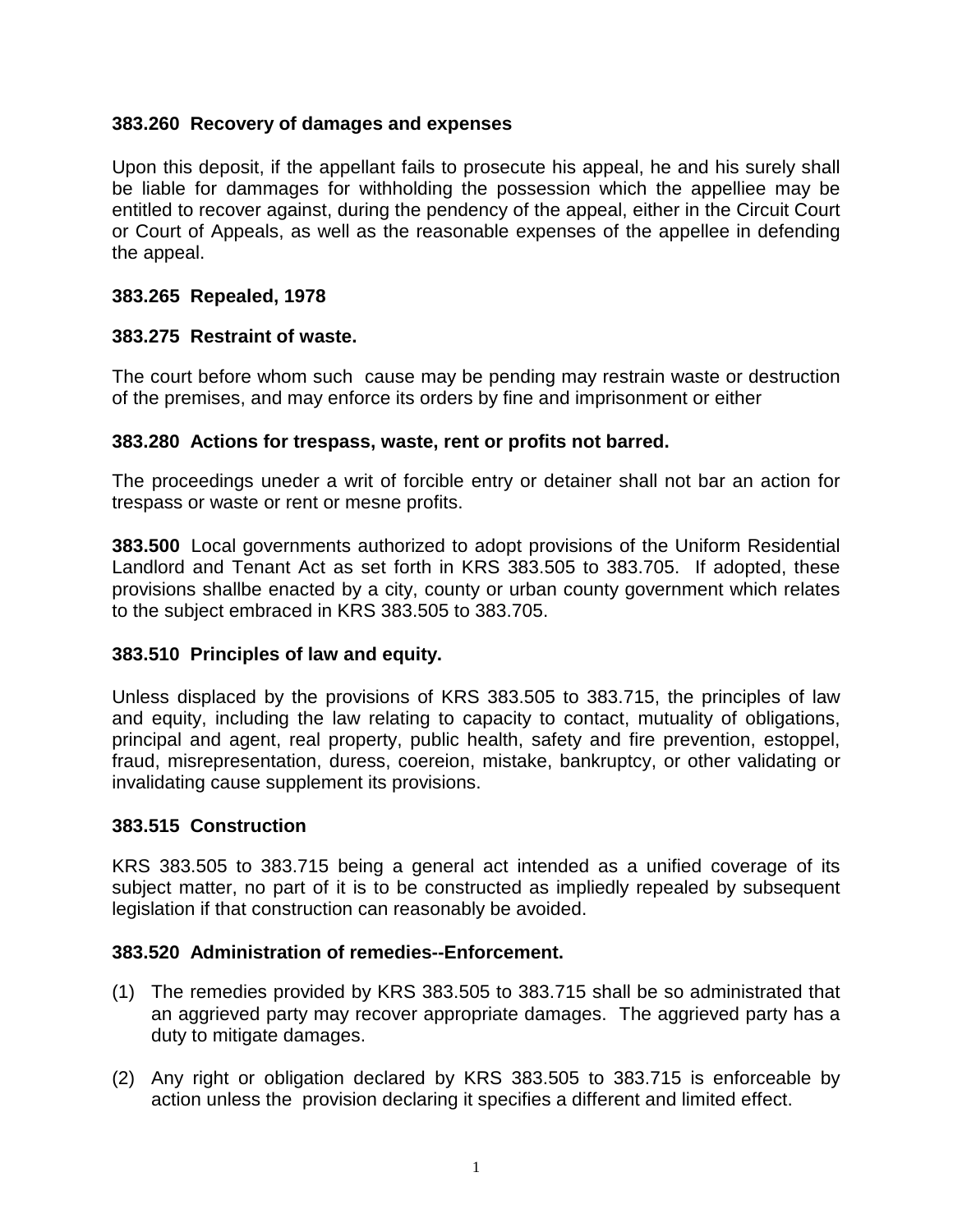### <span id="page-2-0"></span>**383.260 Recovery of damages and expenses**

Upon this deposit, if the appellant fails to prosecute his appeal, he and his surely shall be liable for dammages for withholding the possession which the appelliee may be entitled to recover against, during the pendency of the appeal, either in the Circuit Court or Court of Appeals, as well as the reasonable expenses of the appellee in defending the appeal.

## **383.265 Repealed, 1978**

# **383.275 Restraint of waste.**

The court before whom such cause may be pending may restrain waste or destruction of the premises, and may enforce its orders by fine and imprisonment or either

#### **383.280 Actions for trespass, waste, rent or profits not barred.**

The proceedings uneder a writ of forcible entry or detainer shall not bar an action for trespass or waste or rent or mesne profits.

**383.500** Local governments authorized to adopt provisions of the Uniform Residential Landlord and Tenant Act as set forth in KRS 383.505 to 383.705. If adopted, these provisions shallbe enacted by a city, county or urban county government which relates to the subject embraced in KRS 383.505 to 383.705.

#### **383.510 Principles of law and equity.**

Unless displaced by the provisions of KRS 383.505 to 383.715, the principles of law and equity, including the law relating to capacity to contact, mutuality of obligations, principal and agent, real property, public health, safety and fire prevention, estoppel, fraud, misrepresentation, duress, coereion, mistake, bankruptcy, or other validating or invalidating cause supplement its provisions.

#### **383.515 Construction**

KRS 383.505 to 383.715 being a general act intended as a unified coverage of its subject matter, no part of it is to be constructed as impliedly repealed by subsequent legislation if that construction can reasonably be avoided.

#### **383.520 Administration of remedies--Enforcement.**

- (1) The remedies provided by KRS 383.505 to 383.715 shall be so administrated that an aggrieved party may recover appropriate damages. The aggrieved party has a duty to mitigate damages.
- (2) Any right or obligation declared by KRS 383.505 to 383.715 is enforceable by action unless the provision declaring it specifies a different and limited effect.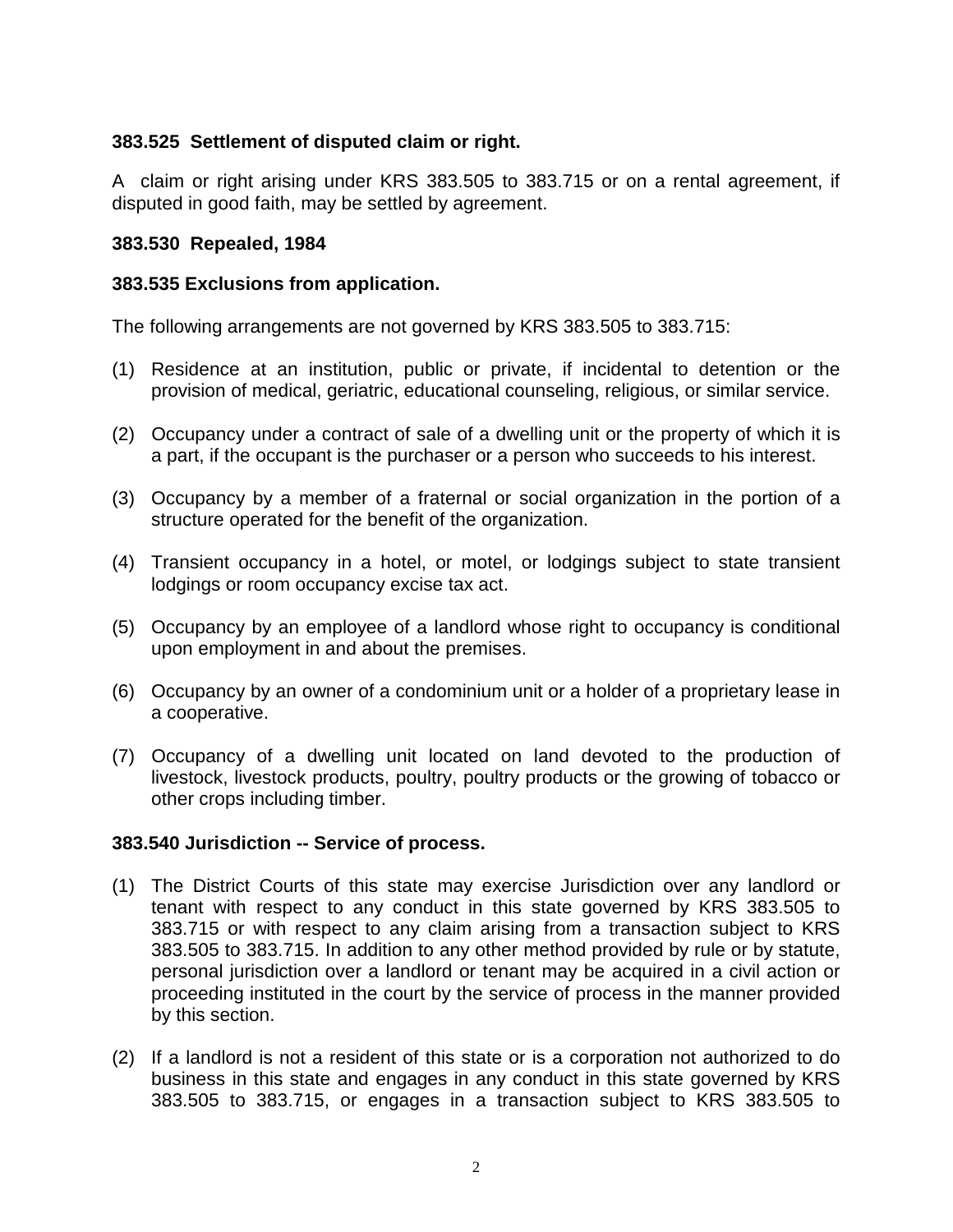# <span id="page-3-0"></span>**383.525 Settlement of disputed claim or right.**

A claim or right arising under KRS 383.505 to 383.715 or on a rental agreement, if disputed in good faith, may be settled by agreement.

#### **383.530 Repealed, 1984**

#### **383.535 Exclusions from application.**

The following arrangements are not governed by KRS 383.505 to 383.715:

- (1) Residence at an institution, public or private, if incidental to detention or the provision of medical, geriatric, educational counseling, religious, or similar service.
- (2) Occupancy under a contract of sale of a dwelling unit or the property of which it is a part, if the occupant is the purchaser or a person who succeeds to his interest.
- (3) Occupancy by a member of a fraternal or social organization in the portion of a structure operated for the benefit of the organization.
- (4) Transient occupancy in a hotel, or motel, or lodgings subject to state transient lodgings or room occupancy excise tax act.
- (5) Occupancy by an employee of a landlord whose right to occupancy is conditional upon employment in and about the premises.
- (6) Occupancy by an owner of a condominium unit or a holder of a proprietary lease in a cooperative.
- (7) Occupancy of a dwelling unit located on land devoted to the production of livestock, livestock products, poultry, poultry products or the growing of tobacco or other crops including timber.

#### **383.540 Jurisdiction -- Service of process.**

- (1) The District Courts of this state may exercise Jurisdiction over any landlord or tenant with respect to any conduct in this state governed by KRS 383.505 to 383.715 or with respect to any claim arising from a transaction subject to KRS 383.505 to 383.715. In addition to any other method provided by rule or by statute, personal jurisdiction over a landlord or tenant may be acquired in a civil action or proceeding instituted in the court by the service of process in the manner provided by this section.
- (2) If a landlord is not a resident of this state or is a corporation not authorized to do business in this state and engages in any conduct in this state governed by KRS 383.505 to 383.715, or engages in a transaction subject to KRS 383.505 to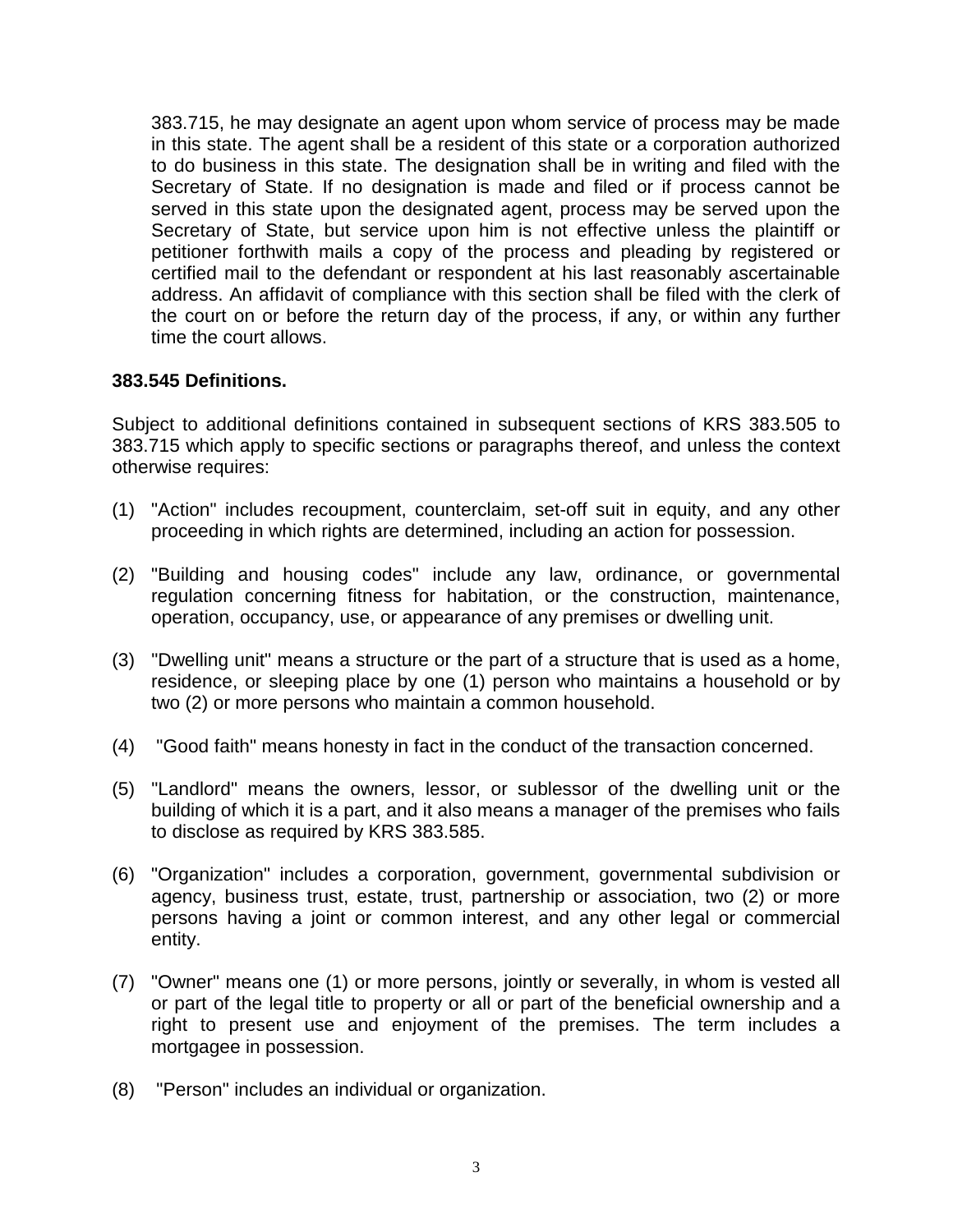<span id="page-4-0"></span>383.715, he may designate an agent upon whom service of process may be made in this state. The agent shall be a resident of this state or a corporation authorized to do business in this state. The designation shall be in writing and filed with the Secretary of State. If no designation is made and filed or if process cannot be served in this state upon the designated agent, process may be served upon the Secretary of State, but service upon him is not effective unless the plaintiff or petitioner forthwith mails a copy of the process and pleading by registered or certified mail to the defendant or respondent at his last reasonably ascertainable address. An affidavit of compliance with this section shall be filed with the clerk of the court on or before the return day of the process, if any, or within any further time the court allows.

#### **383.545 Definitions.**

Subject to additional definitions contained in subsequent sections of KRS 383.505 to 383.715 which apply to specific sections or paragraphs thereof, and unless the context otherwise requires:

- (1) "Action" includes recoupment, counterclaim, set-off suit in equity, and any other proceeding in which rights are determined, including an action for possession.
- (2) "Building and housing codes" include any law, ordinance, or governmental regulation concerning fitness for habitation, or the construction, maintenance, operation, occupancy, use, or appearance of any premises or dwelling unit.
- (3) "Dwelling unit" means a structure or the part of a structure that is used as a home, residence, or sleeping place by one (1) person who maintains a household or by two (2) or more persons who maintain a common household.
- (4) "Good faith" means honesty in fact in the conduct of the transaction concerned.
- (5) "Landlord" means the owners, lessor, or sublessor of the dwelling unit or the building of which it is a part, and it also means a manager of the premises who fails to disclose as required by KRS 383.585.
- (6) "Organization" includes a corporation, government, governmental subdivision or agency, business trust, estate, trust, partnership or association, two (2) or more persons having a joint or common interest, and any other legal or commercial entity.
- (7) "Owner" means one (1) or more persons, jointly or severally, in whom is vested all or part of the legal title to property or all or part of the beneficial ownership and a right to present use and enjoyment of the premises. The term includes a mortgagee in possession.
- (8) "Person" includes an individual or organization.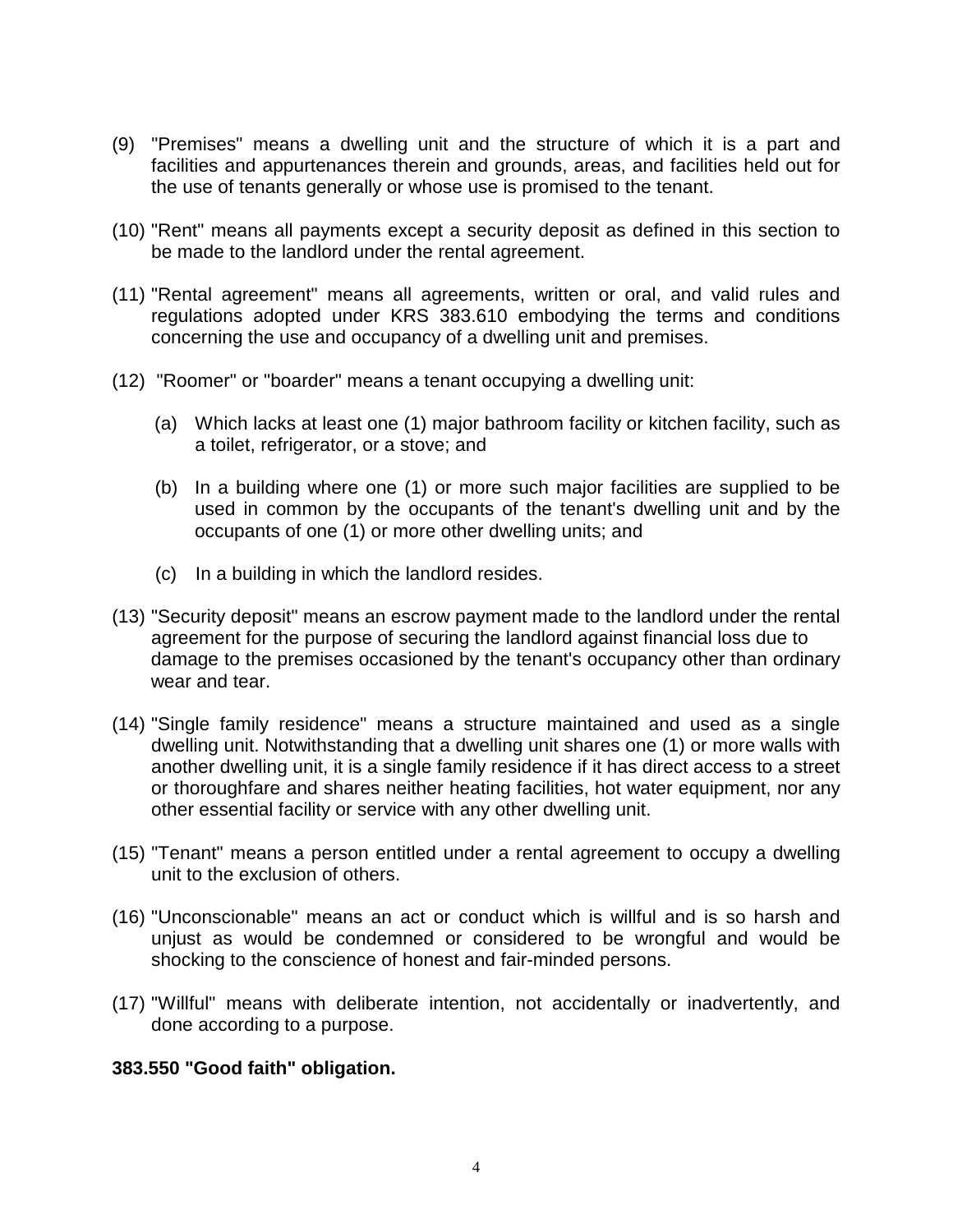- <span id="page-5-0"></span>(9) "Premises" means a dwelling unit and the structure of which it is a part and facilities and appurtenances therein and grounds, areas, and facilities held out for the use of tenants generally or whose use is promised to the tenant.
- (10) "Rent" means all payments except a security deposit as defined in this section to be made to the landlord under the rental agreement.
- (11) "Rental agreement" means all agreements, written or oral, and valid rules and regulations adopted under KRS 383.610 embodying the terms and conditions concerning the use and occupancy of a dwelling unit and premises.
- (12) "Roomer" or "boarder" means a tenant occupying a dwelling unit:
	- (a) Which lacks at least one (1) major bathroom facility or kitchen facility, such as a toilet, refrigerator, or a stove; and
	- (b) In a building where one (1) or more such major facilities are supplied to be used in common by the occupants of the tenant's dwelling unit and by the occupants of one (1) or more other dwelling units; and
	- (c) In a building in which the landlord resides.
- (13) "Security deposit" means an escrow payment made to the landlord under the rental agreement for the purpose of securing the landlord against financial loss due to damage to the premises occasioned by the tenant's occupancy other than ordinary wear and tear.
- (14) "Single family residence" means a structure maintained and used as a single dwelling unit. Notwithstanding that a dwelling unit shares one (1) or more walls with another dwelling unit, it is a single family residence if it has direct access to a street or thoroughfare and shares neither heating facilities, hot water equipment, nor any other essential facility or service with any other dwelling unit.
- (15) "Tenant" means a person entitled under a rental agreement to occupy a dwelling unit to the exclusion of others.
- (16) "Unconscionable" means an act or conduct which is willful and is so harsh and unjust as would be condemned or considered to be wrongful and would be shocking to the conscience of honest and fair-minded persons.
- (17) "Willful" means with deliberate intention, not accidentally or inadvertently, and done according to a purpose.

#### **383.550 "Good faith" obligation.**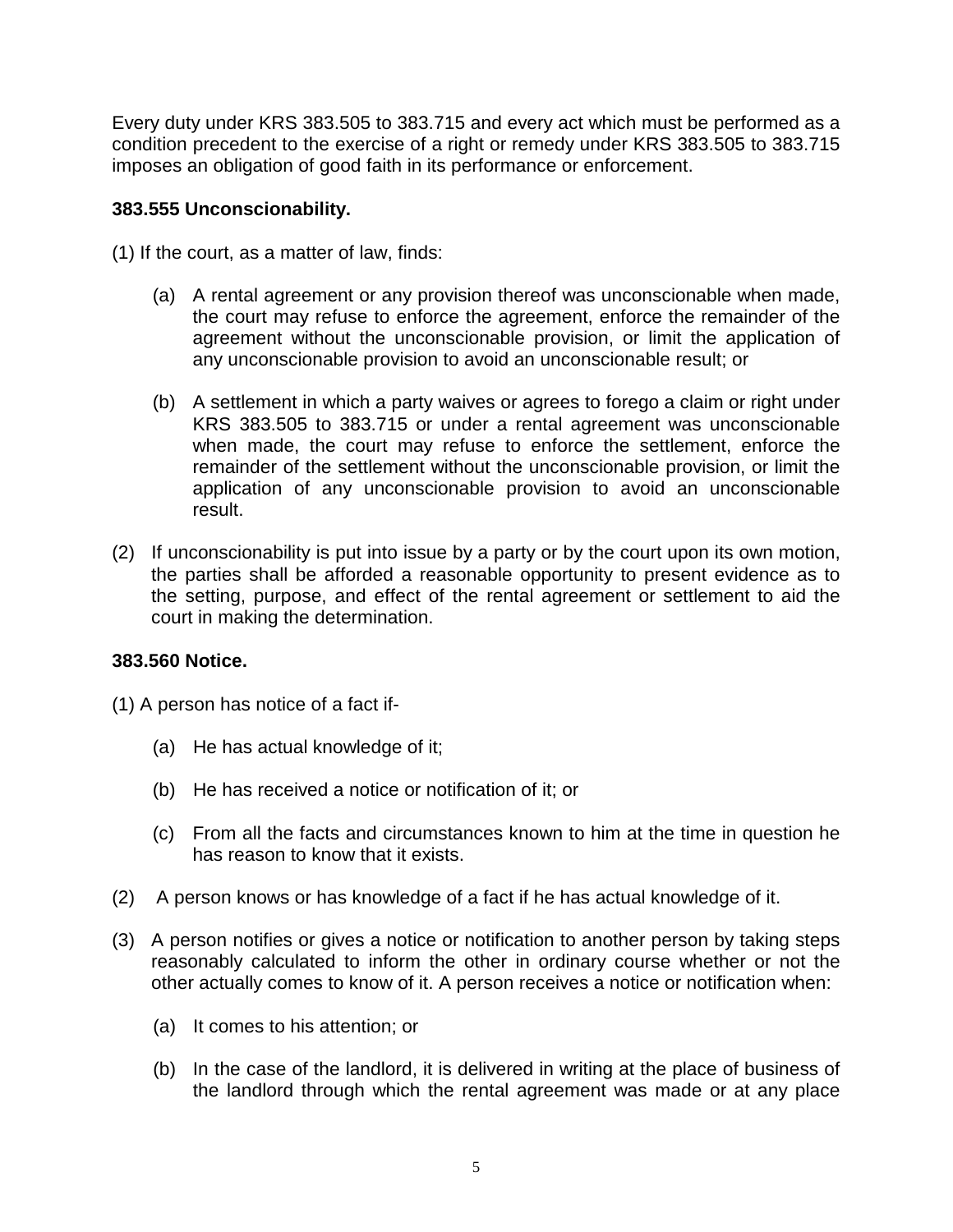<span id="page-6-0"></span>Every duty under KRS 383.505 to 383.715 and every act which must be performed as a condition precedent to the exercise of a right or remedy under KRS 383.505 to 383.715 imposes an obligation of good faith in its performance or enforcement.

# **383.555 Unconscionability.**

(1) If the court, as a matter of law, finds:

- (a) A rental agreement or any provision thereof was unconscionable when made, the court may refuse to enforce the agreement, enforce the remainder of the agreement without the unconscionable provision, or limit the application of any unconscionable provision to avoid an unconscionable result; or
- (b) A settlement in which a party waives or agrees to forego a claim or right under KRS 383.505 to 383.715 or under a rental agreement was unconscionable when made, the court may refuse to enforce the settlement, enforce the remainder of the settlement without the unconscionable provision, or limit the application of any unconscionable provision to avoid an unconscionable result.
- (2) If unconscionability is put into issue by a party or by the court upon its own motion, the parties shall be afforded a reasonable opportunity to present evidence as to the setting, purpose, and effect of the rental agreement or settlement to aid the court in making the determination.

# **383.560 Notice.**

(1) A person has notice of a fact if-

- (a) He has actual knowledge of it;
- (b) He has received a notice or notification of it; or
- (c) From all the facts and circumstances known to him at the time in question he has reason to know that it exists.
- (2) A person knows or has knowledge of a fact if he has actual knowledge of it.
- (3) A person notifies or gives a notice or notification to another person by taking steps reasonably calculated to inform the other in ordinary course whether or not the other actually comes to know of it. A person receives a notice or notification when:
	- (a) It comes to his attention; or
	- (b) In the case of the landlord, it is delivered in writing at the place of business of the landlord through which the rental agreement was made or at any place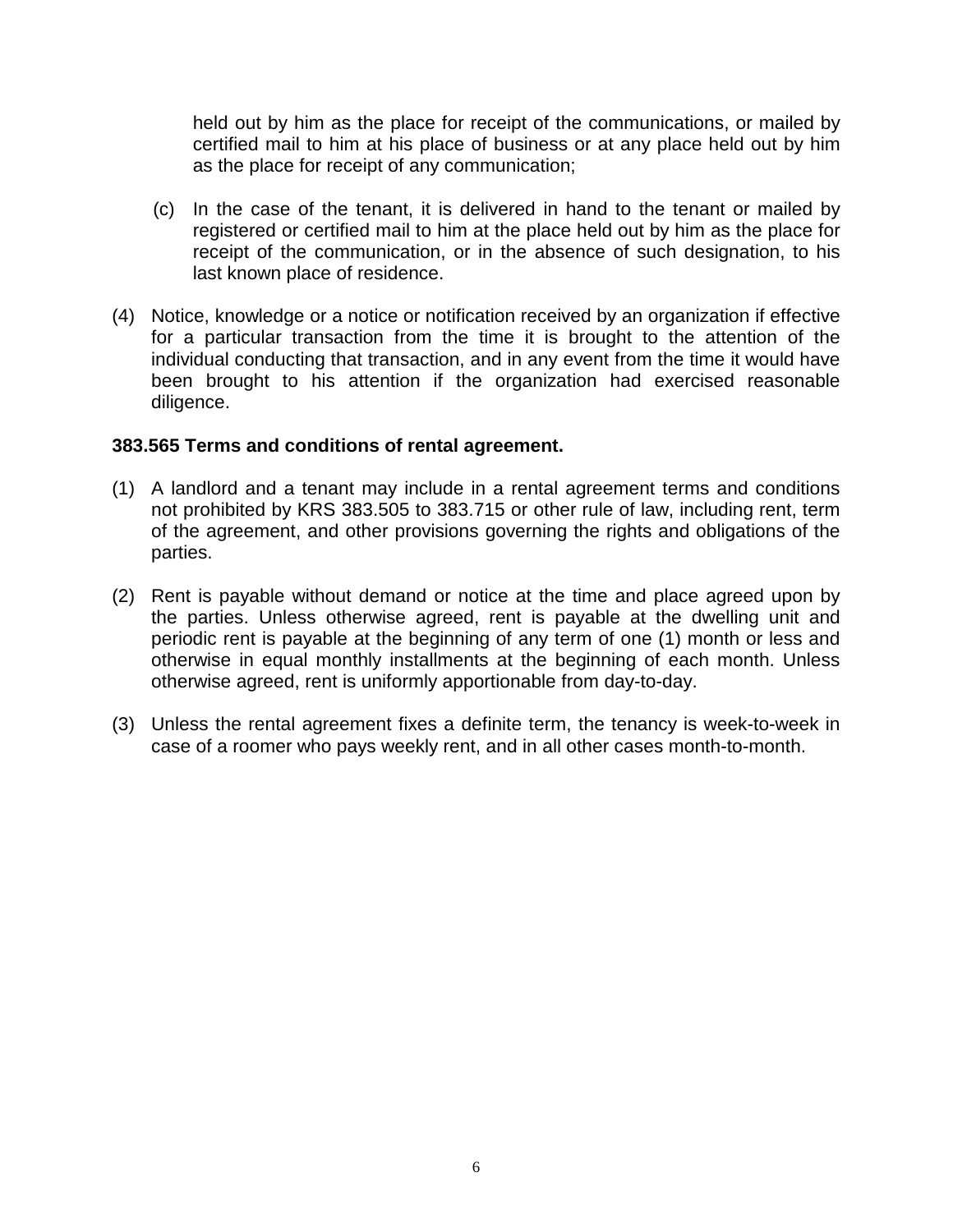<span id="page-7-0"></span>held out by him as the place for receipt of the communications, or mailed by certified mail to him at his place of business or at any place held out by him as the place for receipt of any communication;

- (c) In the case of the tenant, it is delivered in hand to the tenant or mailed by registered or certified mail to him at the place held out by him as the place for receipt of the communication, or in the absence of such designation, to his last known place of residence.
- (4) Notice, knowledge or a notice or notification received by an organization if effective for a particular transaction from the time it is brought to the attention of the individual conducting that transaction, and in any event from the time it would have been brought to his attention if the organization had exercised reasonable diligence.

#### **383.565 Terms and conditions of rental agreement.**

- (1) A landlord and a tenant may include in a rental agreement terms and conditions not prohibited by KRS 383.505 to 383.715 or other rule of law, including rent, term of the agreement, and other provisions governing the rights and obligations of the parties.
- (2) Rent is payable without demand or notice at the time and place agreed upon by the parties. Unless otherwise agreed, rent is payable at the dwelling unit and periodic rent is payable at the beginning of any term of one (1) month or less and otherwise in equal monthly installments at the beginning of each month. Unless otherwise agreed, rent is uniformly apportionable from day-to-day.
- (3) Unless the rental agreement fixes a definite term, the tenancy is week-to-week in case of a roomer who pays weekly rent, and in all other cases month-to-month.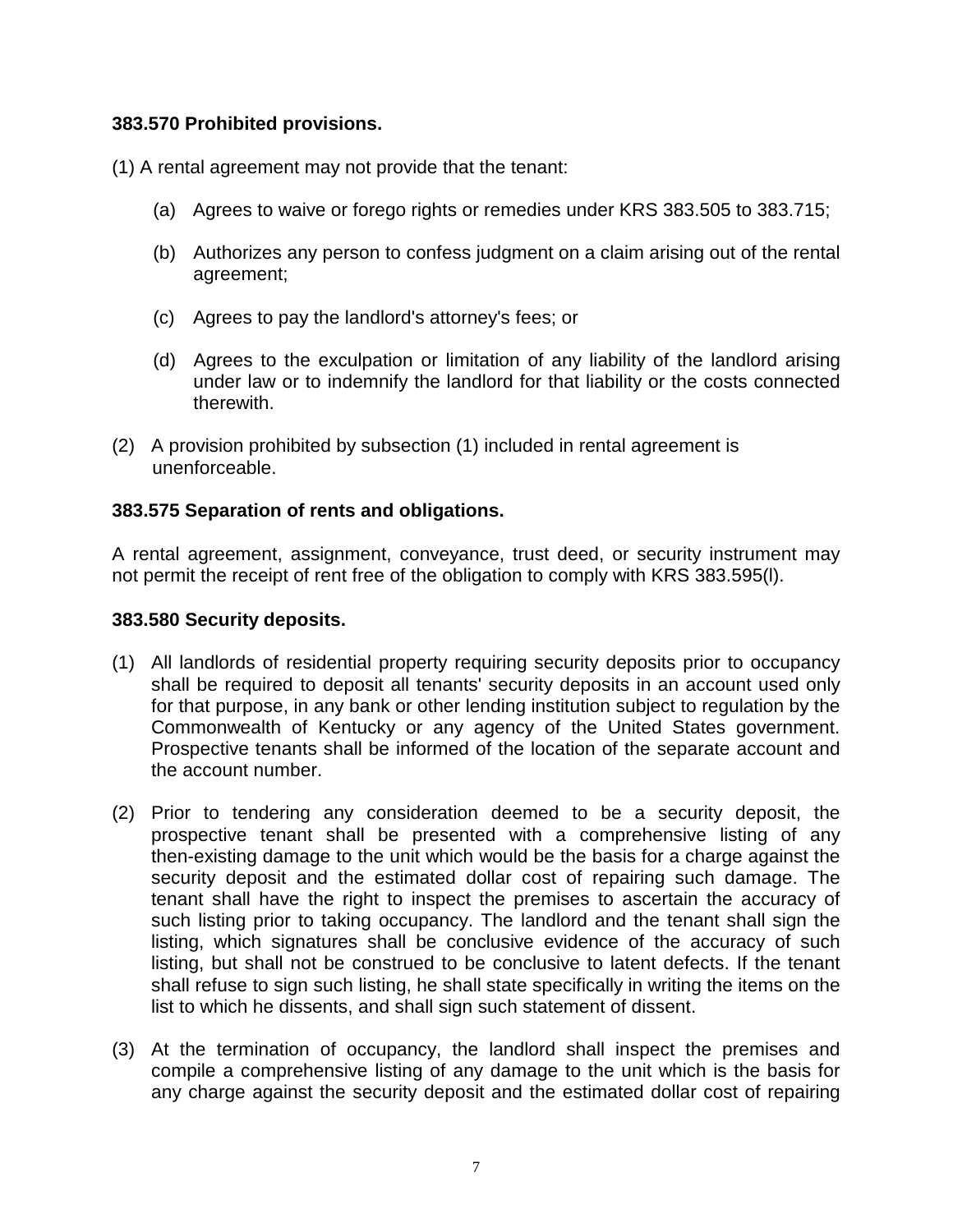#### <span id="page-8-0"></span>**383.570 Prohibited provisions.**

(1) A rental agreement may not provide that the tenant:

- (a) Agrees to waive or forego rights or remedies under KRS 383.505 to 383.715;
- (b) Authorizes any person to confess judgment on a claim arising out of the rental agreement;
- (c) Agrees to pay the landlord's attorney's fees; or
- (d) Agrees to the exculpation or limitation of any liability of the landlord arising under law or to indemnify the landlord for that liability or the costs connected therewith.
- (2) A provision prohibited by subsection (1) included in rental agreement is unenforceable.

# **383.575 Separation of rents and obligations.**

A rental agreement, assignment, conveyance, trust deed, or security instrument may not permit the receipt of rent free of the obligation to comply with KRS 383.595(l).

#### **383.580 Security deposits.**

- (1) All landlords of residential property requiring security deposits prior to occupancy shall be required to deposit all tenants' security deposits in an account used only for that purpose, in any bank or other lending institution subject to regulation by the Commonwealth of Kentucky or any agency of the United States government. Prospective tenants shall be informed of the location of the separate account and the account number.
- (2) Prior to tendering any consideration deemed to be a security deposit, the prospective tenant shall be presented with a comprehensive listing of any then-existing damage to the unit which would be the basis for a charge against the security deposit and the estimated dollar cost of repairing such damage. The tenant shall have the right to inspect the premises to ascertain the accuracy of such listing prior to taking occupancy. The landlord and the tenant shall sign the listing, which signatures shall be conclusive evidence of the accuracy of such listing, but shall not be construed to be conclusive to latent defects. If the tenant shall refuse to sign such listing, he shall state specifically in writing the items on the list to which he dissents, and shall sign such statement of dissent.
- (3) At the termination of occupancy, the landlord shall inspect the premises and compile a comprehensive listing of any damage to the unit which is the basis for any charge against the security deposit and the estimated dollar cost of repairing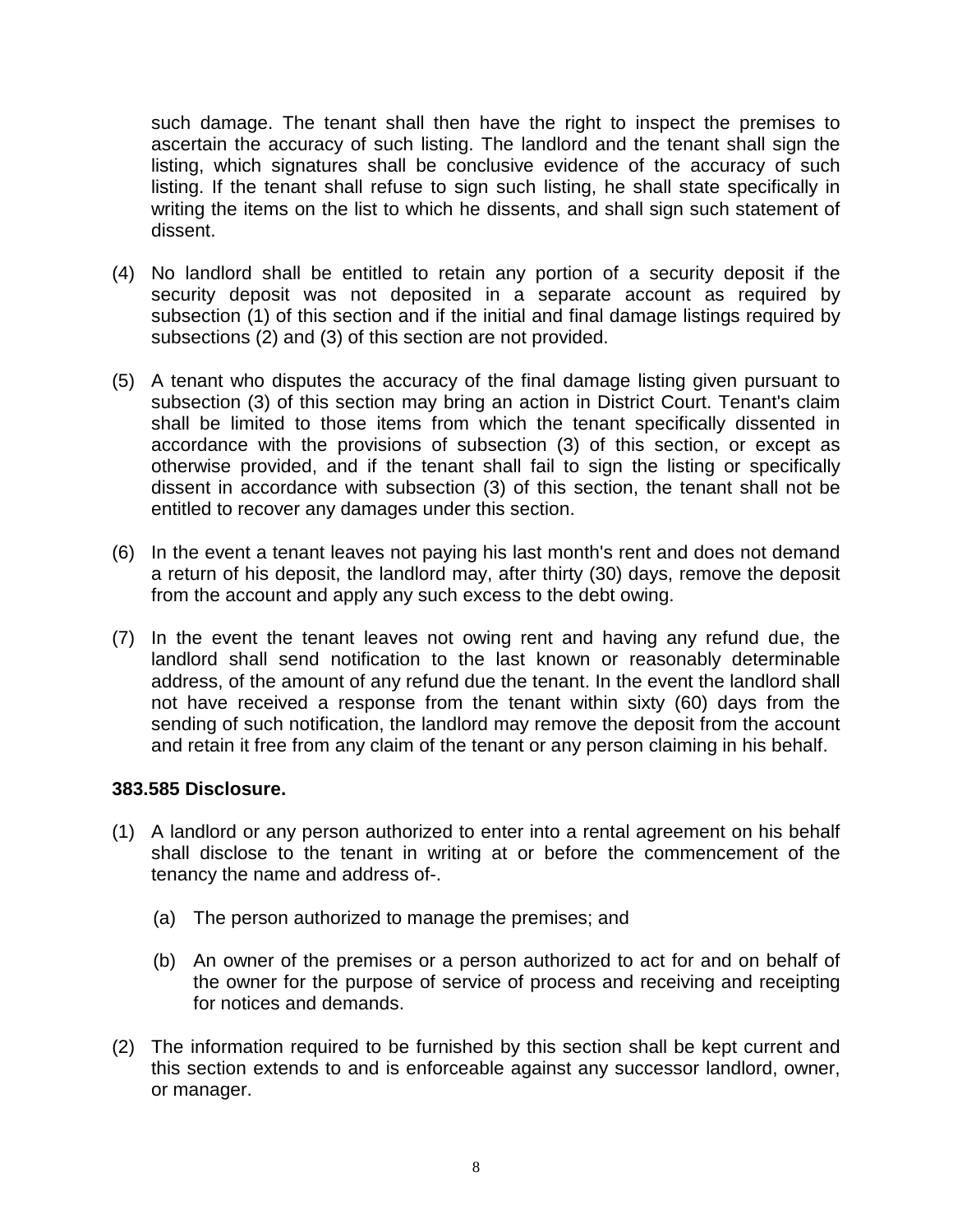<span id="page-9-0"></span>such damage. The tenant shall then have the right to inspect the premises to ascertain the accuracy of such listing. The landlord and the tenant shall sign the listing, which signatures shall be conclusive evidence of the accuracy of such listing. If the tenant shall refuse to sign such listing, he shall state specifically in writing the items on the list to which he dissents, and shall sign such statement of dissent.

- (4) No landlord shall be entitled to retain any portion of a security deposit if the security deposit was not deposited in a separate account as required by subsection (1) of this section and if the initial and final damage listings required by subsections (2) and (3) of this section are not provided.
- (5) A tenant who disputes the accuracy of the final damage listing given pursuant to subsection (3) of this section may bring an action in District Court. Tenant's claim shall be limited to those items from which the tenant specifically dissented in accordance with the provisions of subsection (3) of this section, or except as otherwise provided, and if the tenant shall fail to sign the listing or specifically dissent in accordance with subsection (3) of this section, the tenant shall not be entitled to recover any damages under this section.
- (6) In the event a tenant leaves not paying his last month's rent and does not demand a return of his deposit, the landlord may, after thirty (30) days, remove the deposit from the account and apply any such excess to the debt owing.
- (7) In the event the tenant leaves not owing rent and having any refund due, the landlord shall send notification to the last known or reasonably determinable address, of the amount of any refund due the tenant. In the event the landlord shall not have received a response from the tenant within sixty (60) days from the sending of such notification, the landlord may remove the deposit from the account and retain it free from any claim of the tenant or any person claiming in his behalf.

#### **383.585 Disclosure.**

- (1) A landlord or any person authorized to enter into a rental agreement on his behalf shall disclose to the tenant in writing at or before the commencement of the tenancy the name and address of-.
	- (a) The person authorized to manage the premises; and
	- (b) An owner of the premises or a person authorized to act for and on behalf of the owner for the purpose of service of process and receiving and receipting for notices and demands.
- (2) The information required to be furnished by this section shall be kept current and this section extends to and is enforceable against any successor landlord, owner, or manager.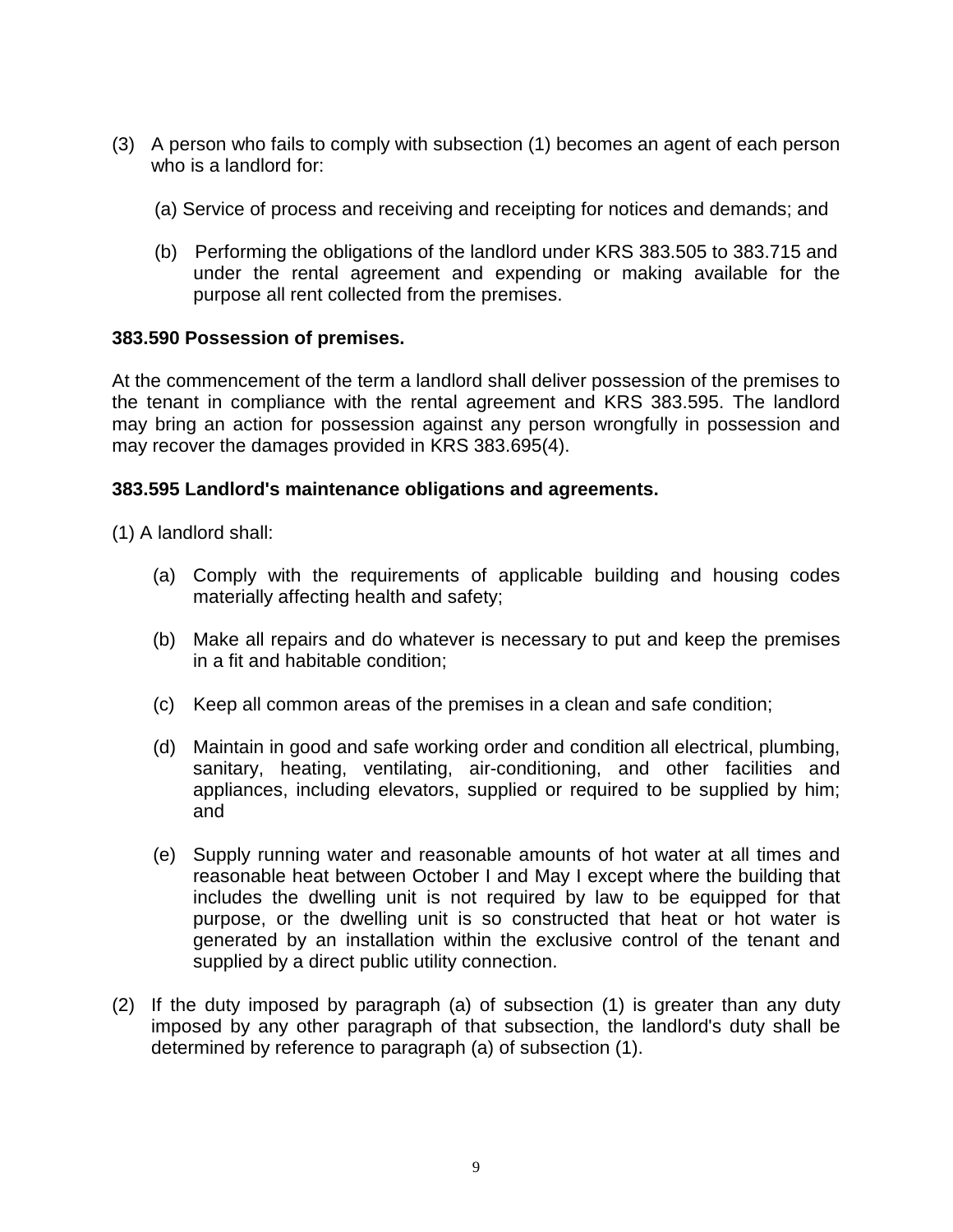- <span id="page-10-0"></span>(3) A person who fails to comply with subsection (1) becomes an agent of each person who is a landlord for:
	- (a) Service of process and receiving and receipting for notices and demands; and
	- (b) Performing the obligations of the landlord under KRS 383.505 to 383.715 and under the rental agreement and expending or making available for the purpose all rent collected from the premises.

#### **383.590 Possession of premises.**

At the commencement of the term a landlord shall deliver possession of the premises to the tenant in compliance with the rental agreement and KRS 383.595. The landlord may bring an action for possession against any person wrongfully in possession and may recover the damages provided in KRS 383.695(4).

#### **383.595 Landlord's maintenance obligations and agreements.**

(1) A landlord shall:

- (a) Comply with the requirements of applicable building and housing codes materially affecting health and safety;
- (b) Make all repairs and do whatever is necessary to put and keep the premises in a fit and habitable condition;
- (c) Keep all common areas of the premises in a clean and safe condition;
- (d) Maintain in good and safe working order and condition all electrical, plumbing, sanitary, heating, ventilating, air-conditioning, and other facilities and appliances, including elevators, supplied or required to be supplied by him; and
- (e) Supply running water and reasonable amounts of hot water at all times and reasonable heat between October I and May I except where the building that includes the dwelling unit is not required by law to be equipped for that purpose, or the dwelling unit is so constructed that heat or hot water is generated by an installation within the exclusive control of the tenant and supplied by a direct public utility connection.
- (2) If the duty imposed by paragraph (a) of subsection (1) is greater than any duty imposed by any other paragraph of that subsection, the landlord's duty shall be determined by reference to paragraph (a) of subsection (1).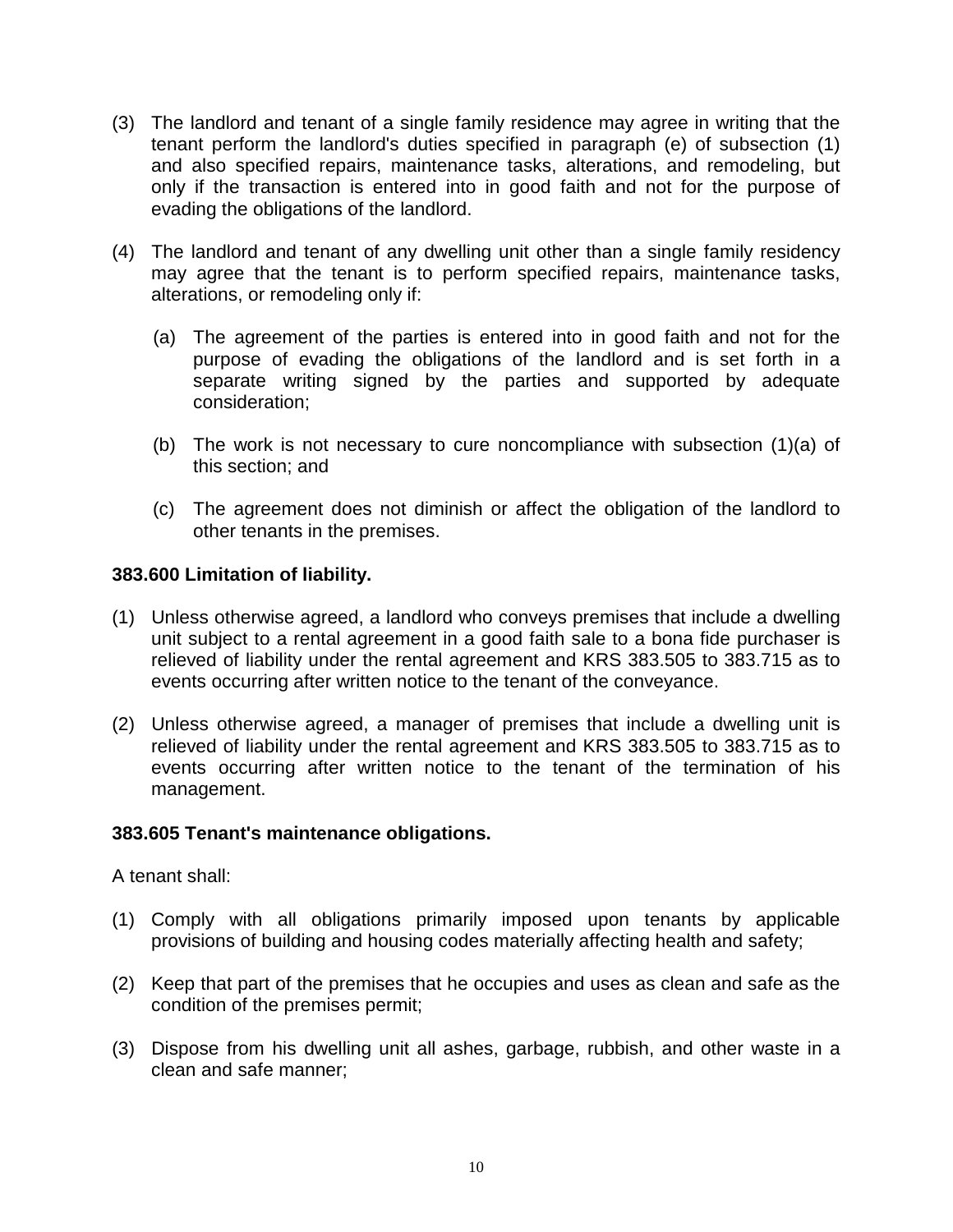- <span id="page-11-0"></span>(3) The landlord and tenant of a single family residence may agree in writing that the tenant perform the landlord's duties specified in paragraph (e) of subsection (1) and also specified repairs, maintenance tasks, alterations, and remodeling, but only if the transaction is entered into in good faith and not for the purpose of evading the obligations of the landlord.
- (4) The landlord and tenant of any dwelling unit other than a single family residency may agree that the tenant is to perform specified repairs, maintenance tasks, alterations, or remodeling only if:
	- (a) The agreement of the parties is entered into in good faith and not for the purpose of evading the obligations of the landlord and is set forth in a separate writing signed by the parties and supported by adequate consideration;
	- (b) The work is not necessary to cure noncompliance with subsection (1)(a) of this section; and
	- (c) The agreement does not diminish or affect the obligation of the landlord to other tenants in the premises.

# **383.600 Limitation of liability.**

- (1) Unless otherwise agreed, a landlord who conveys premises that include a dwelling unit subject to a rental agreement in a good faith sale to a bona fide purchaser is relieved of liability under the rental agreement and KRS 383.505 to 383.715 as to events occurring after written notice to the tenant of the conveyance.
- (2) Unless otherwise agreed, a manager of premises that include a dwelling unit is relieved of liability under the rental agreement and KRS 383.505 to 383.715 as to events occurring after written notice to the tenant of the termination of his management.

#### **383.605 Tenant's maintenance obligations.**

A tenant shall:

- (1) Comply with all obligations primarily imposed upon tenants by applicable provisions of building and housing codes materially affecting health and safety;
- (2) Keep that part of the premises that he occupies and uses as clean and safe as the condition of the premises permit;
- (3) Dispose from his dwelling unit all ashes, garbage, rubbish, and other waste in a clean and safe manner;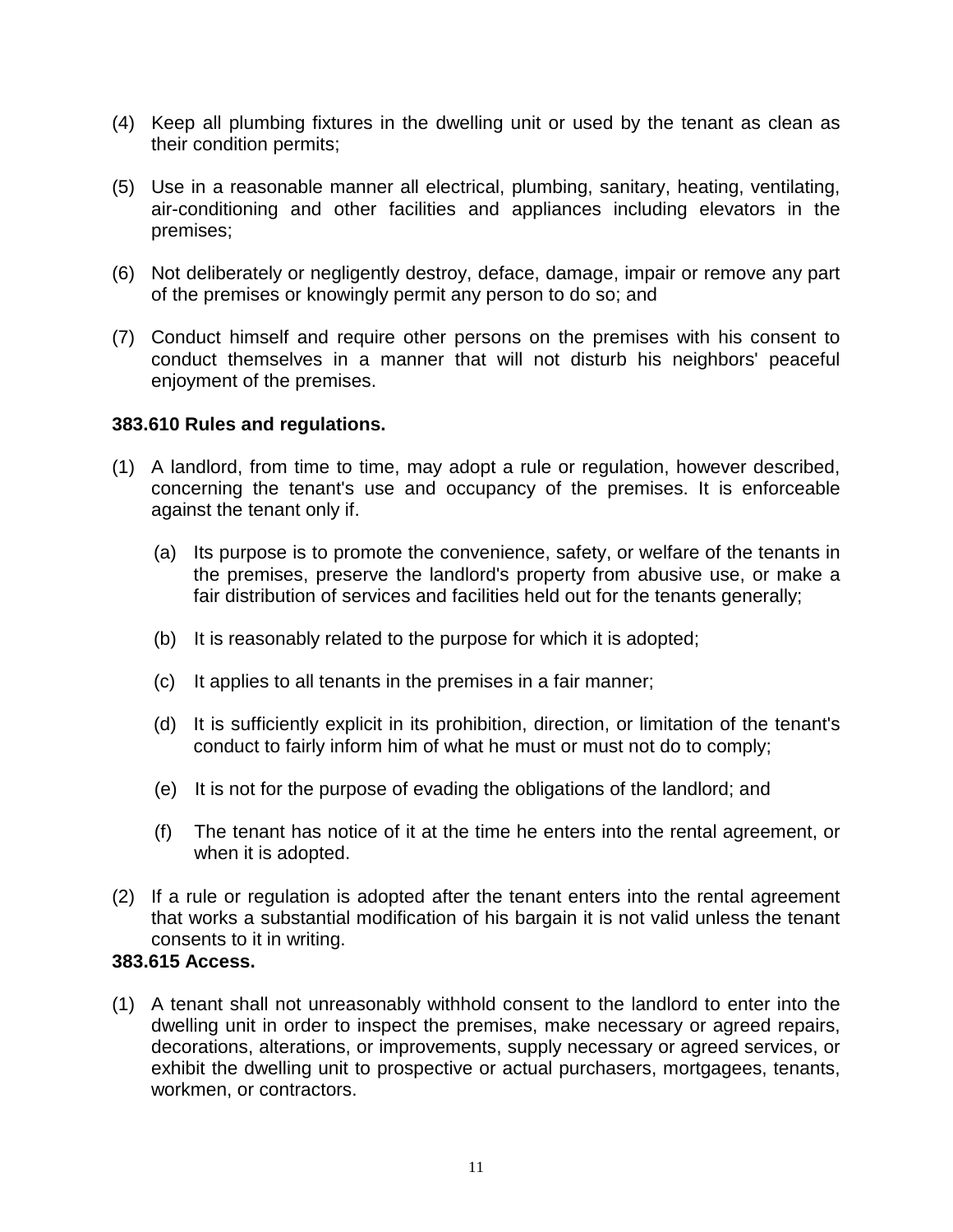- <span id="page-12-0"></span>(4) Keep all plumbing fixtures in the dwelling unit or used by the tenant as clean as their condition permits;
- (5) Use in a reasonable manner all electrical, plumbing, sanitary, heating, ventilating, air-conditioning and other facilities and appliances including elevators in the premises;
- (6) Not deliberately or negligently destroy, deface, damage, impair or remove any part of the premises or knowingly permit any person to do so; and
- (7) Conduct himself and require other persons on the premises with his consent to conduct themselves in a manner that will not disturb his neighbors' peaceful enjoyment of the premises.

#### **383.610 Rules and regulations.**

- (1) A landlord, from time to time, may adopt a rule or regulation, however described, concerning the tenant's use and occupancy of the premises. It is enforceable against the tenant only if.
	- (a) Its purpose is to promote the convenience, safety, or welfare of the tenants in the premises, preserve the landlord's property from abusive use, or make a fair distribution of services and facilities held out for the tenants generally;
	- (b) It is reasonably related to the purpose for which it is adopted;
	- (c) It applies to all tenants in the premises in a fair manner;
	- (d) It is sufficiently explicit in its prohibition, direction, or limitation of the tenant's conduct to fairly inform him of what he must or must not do to comply;
	- (e) It is not for the purpose of evading the obligations of the landlord; and
	- (f) The tenant has notice of it at the time he enters into the rental agreement, or when it is adopted.
- (2) If a rule or regulation is adopted after the tenant enters into the rental agreement that works a substantial modification of his bargain it is not valid unless the tenant consents to it in writing.

# **383.615 Access.**

(1) A tenant shall not unreasonably withhold consent to the landlord to enter into the dwelling unit in order to inspect the premises, make necessary or agreed repairs, decorations, alterations, or improvements, supply necessary or agreed services, or exhibit the dwelling unit to prospective or actual purchasers, mortgagees, tenants, workmen, or contractors.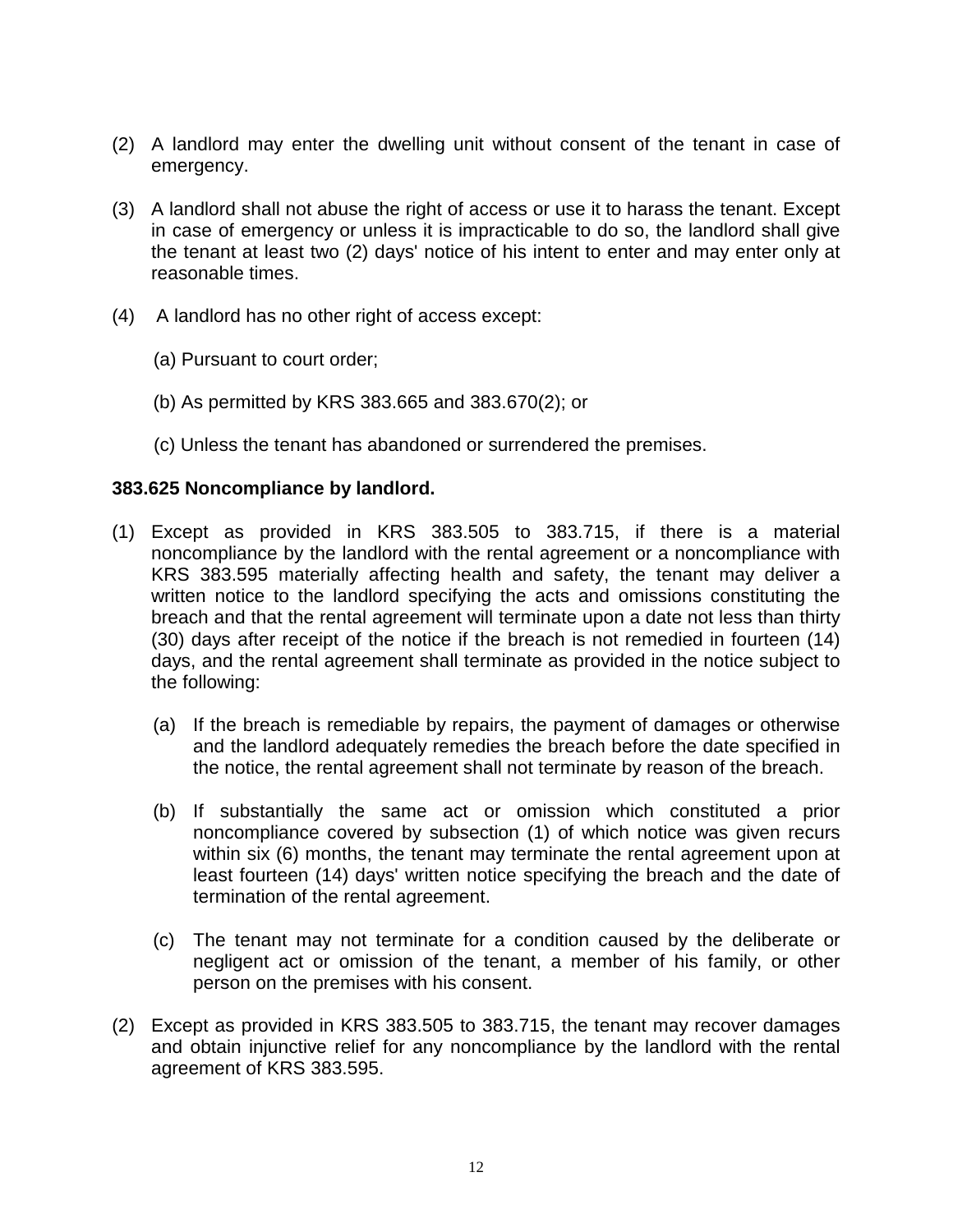- <span id="page-13-0"></span>(2) A landlord may enter the dwelling unit without consent of the tenant in case of emergency.
- (3) A landlord shall not abuse the right of access or use it to harass the tenant. Except in case of emergency or unless it is impracticable to do so, the landlord shall give the tenant at least two (2) days' notice of his intent to enter and may enter only at reasonable times.
- (4) A landlord has no other right of access except:
	- (a) Pursuant to court order;
	- (b) As permitted by KRS 383.665 and 383.670(2); or
	- (c) Unless the tenant has abandoned or surrendered the premises.

#### **383.625 Noncompliance by landlord.**

- (1) Except as provided in KRS 383.505 to 383.715, if there is a material noncompliance by the landlord with the rental agreement or a noncompliance with KRS 383.595 materially affecting health and safety, the tenant may deliver a written notice to the landlord specifying the acts and omissions constituting the breach and that the rental agreement will terminate upon a date not less than thirty (30) days after receipt of the notice if the breach is not remedied in fourteen (14) days, and the rental agreement shall terminate as provided in the notice subject to the following:
	- (a) If the breach is remediable by repairs, the payment of damages or otherwise and the landlord adequately remedies the breach before the date specified in the notice, the rental agreement shall not terminate by reason of the breach.
	- (b) If substantially the same act or omission which constituted a prior noncompliance covered by subsection (1) of which notice was given recurs within six (6) months, the tenant may terminate the rental agreement upon at least fourteen (14) days' written notice specifying the breach and the date of termination of the rental agreement.
	- (c) The tenant may not terminate for a condition caused by the deliberate or negligent act or omission of the tenant, a member of his family, or other person on the premises with his consent.
- (2) Except as provided in KRS 383.505 to 383.715, the tenant may recover damages and obtain injunctive relief for any noncompliance by the landlord with the rental agreement of KRS 383.595.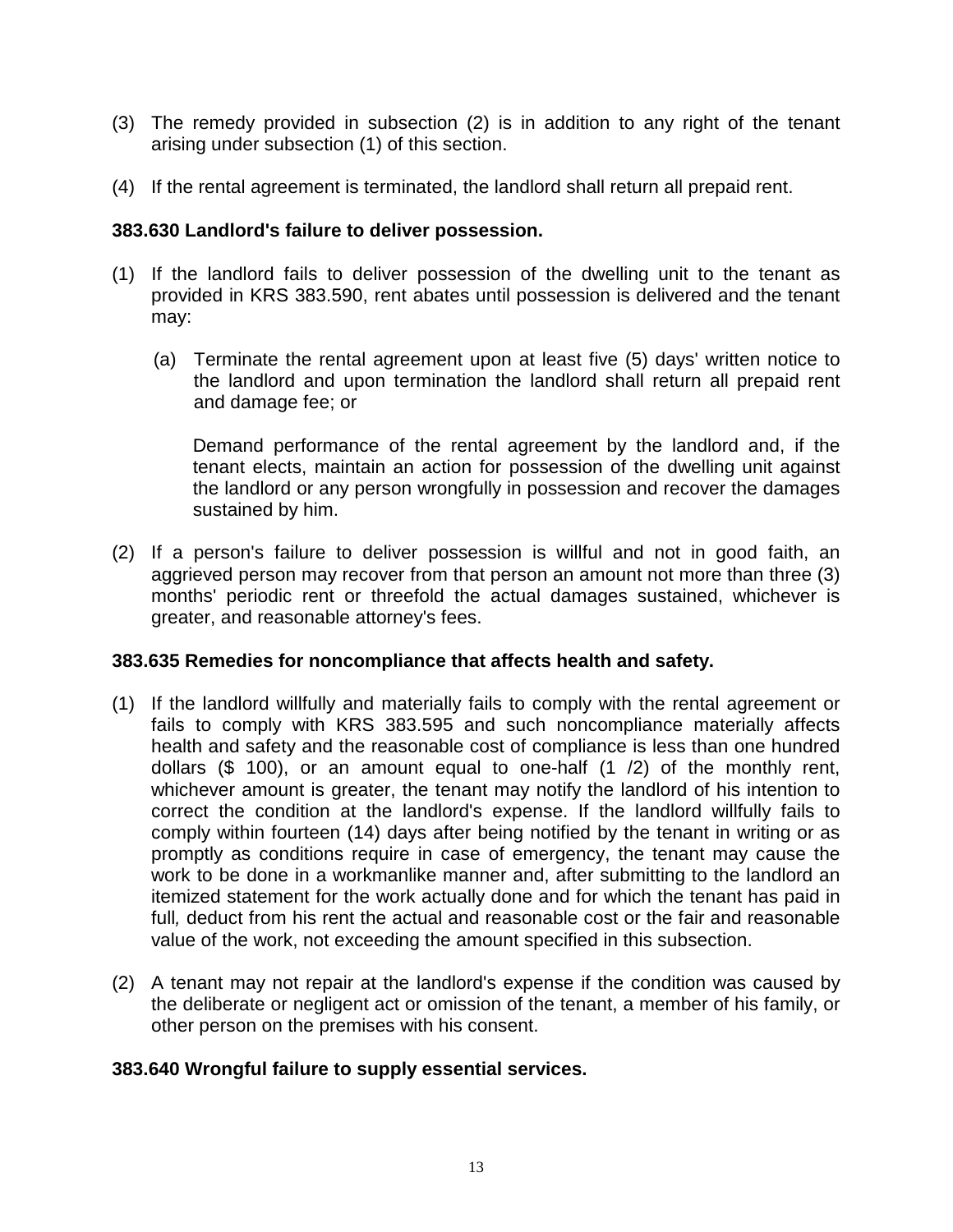- <span id="page-14-0"></span>(3) The remedy provided in subsection (2) is in addition to any right of the tenant arising under subsection (1) of this section.
- (4) If the rental agreement is terminated, the landlord shall return all prepaid rent.

# **383.630 Landlord's failure to deliver possession.**

- (1) If the landlord fails to deliver possession of the dwelling unit to the tenant as provided in KRS 383.590, rent abates until possession is delivered and the tenant may:
	- (a) Terminate the rental agreement upon at least five (5) days' written notice to the landlord and upon termination the landlord shall return all prepaid rent and damage fee; or

Demand performance of the rental agreement by the landlord and, if the tenant elects, maintain an action for possession of the dwelling unit against the landlord or any person wrongfully in possession and recover the damages sustained by him.

(2) If a person's failure to deliver possession is willful and not in good faith, an agarieved person may recover from that person an amount not more than three (3) months' periodic rent or threefold the actual damages sustained, whichever is greater, and reasonable attorney's fees.

#### **383.635 Remedies for noncompliance that affects health and safety.**

- (1) If the landlord willfully and materially fails to comply with the rental agreement or fails to comply with KRS 383.595 and such noncompliance materially affects health and safety and the reasonable cost of compliance is less than one hundred dollars (\$ 100), or an amount equal to one-half (1 /2) of the monthly rent, whichever amount is greater, the tenant may notify the landlord of his intention to correct the condition at the landlord's expense. If the landlord willfully fails to comply within fourteen (14) days after being notified by the tenant in writing or as promptly as conditions require in case of emergency, the tenant may cause the work to be done in a workmanlike manner and, after submitting to the landlord an itemized statement for the work actually done and for which the tenant has paid in full*,* deduct from his rent the actual and reasonable cost or the fair and reasonable value of the work, not exceeding the amount specified in this subsection.
- (2) A tenant may not repair at the landlord's expense if the condition was caused by the deliberate or negligent act or omission of the tenant, a member of his family, or other person on the premises with his consent.

#### **383.640 Wrongful failure to supply essential services.**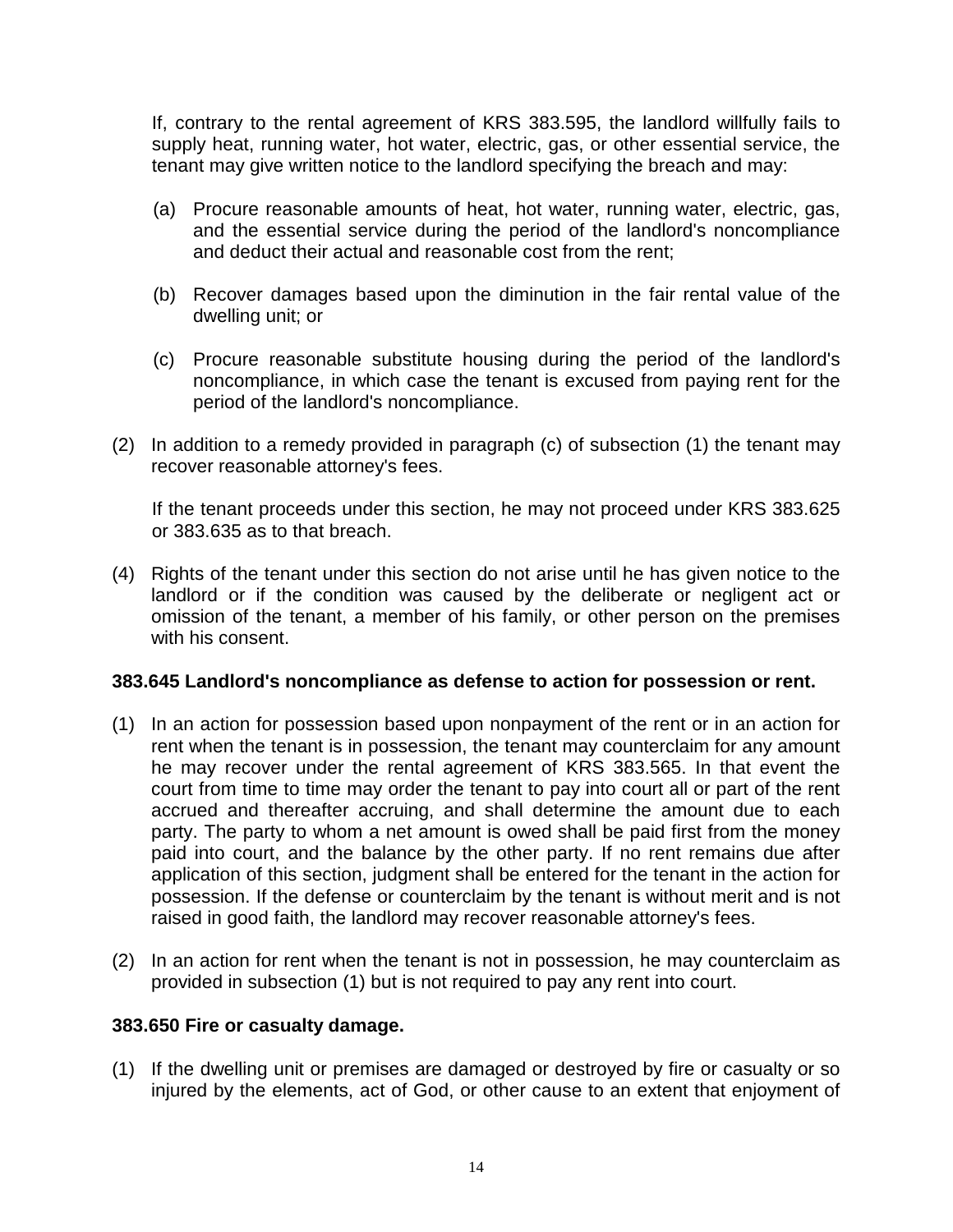<span id="page-15-0"></span>If, contrary to the rental agreement of KRS 383.595, the landlord willfully fails to supply heat, running water, hot water, electric, gas, or other essential service, the tenant may give written notice to the landlord specifying the breach and may:

- (a) Procure reasonable amounts of heat, hot water, running water, electric, gas, and the essential service during the period of the landlord's noncompliance and deduct their actual and reasonable cost from the rent;
- (b) Recover damages based upon the diminution in the fair rental value of the dwelling unit; or
- (c) Procure reasonable substitute housing during the period of the landlord's noncompliance, in which case the tenant is excused from paying rent for the period of the landlord's noncompliance.
- (2) In addition to a remedy provided in paragraph (c) of subsection (1) the tenant may recover reasonable attorney's fees.

If the tenant proceeds under this section, he may not proceed under KRS 383.625 or 383.635 as to that breach.

(4) Rights of the tenant under this section do not arise until he has given notice to the landlord or if the condition was caused by the deliberate or negligent act or omission of the tenant, a member of his family, or other person on the premises with his consent.

#### **383.645 Landlord's noncompliance as defense to action for possession or rent.**

- (1) In an action for possession based upon nonpayment of the rent or in an action for rent when the tenant is in possession, the tenant may counterclaim for any amount he may recover under the rental agreement of KRS 383.565. In that event the court from time to time may order the tenant to pay into court all or part of the rent accrued and thereafter accruing, and shall determine the amount due to each party. The party to whom a net amount is owed shall be paid first from the money paid into court, and the balance by the other party. If no rent remains due after application of this section, judgment shall be entered for the tenant in the action for possession. If the defense or counterclaim by the tenant is without merit and is not raised in good faith, the landlord may recover reasonable attorney's fees.
- (2) In an action for rent when the tenant is not in possession, he may counterclaim as provided in subsection (1) but is not required to pay any rent into court.

#### **383.650 Fire or casualty damage.**

(1) If the dwelling unit or premises are damaged or destroyed by fire or casualty or so injured by the elements, act of God, or other cause to an extent that enjoyment of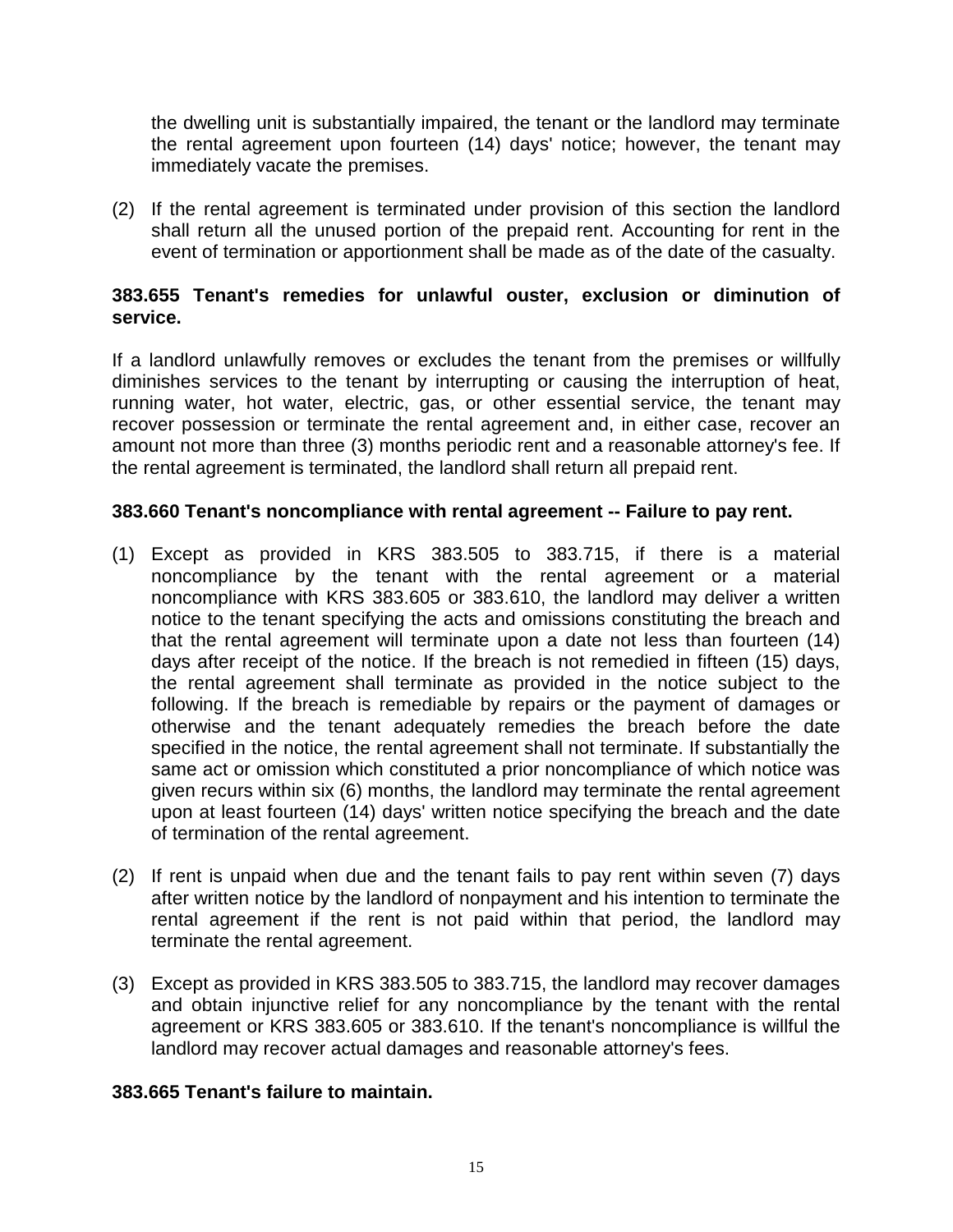<span id="page-16-0"></span>the dwelling unit is substantially impaired, the tenant or the landlord may terminate the rental agreement upon fourteen (14) days' notice; however, the tenant may immediately vacate the premises.

(2) If the rental agreement is terminated under provision of this section the landlord shall return all the unused portion of the prepaid rent. Accounting for rent in the event of termination or apportionment shall be made as of the date of the casualty.

# **383.655 Tenant's remedies for unlawful ouster, exclusion or diminution of service.**

If a landlord unlawfully removes or excludes the tenant from the premises or willfully diminishes services to the tenant by interrupting or causing the interruption of heat, running water, hot water, electric, gas, or other essential service, the tenant may recover possession or terminate the rental agreement and, in either case, recover an amount not more than three (3) months periodic rent and a reasonable attorney's fee. If the rental agreement is terminated, the landlord shall return all prepaid rent.

# **383.660 Tenant's noncompliance with rental agreement -- Failure to pay rent.**

- (1) Except as provided in KRS 383.505 to 383.715, if there is a material noncompliance by the tenant with the rental agreement or a material noncompliance with KRS 383.605 or 383.610, the landlord may deliver a written notice to the tenant specifying the acts and omissions constituting the breach and that the rental agreement will terminate upon a date not less than fourteen (14) days after receipt of the notice. If the breach is not remedied in fifteen (15) days, the rental agreement shall terminate as provided in the notice subject to the following. If the breach is remediable by repairs or the payment of damages or otherwise and the tenant adequately remedies the breach before the date specified in the notice, the rental agreement shall not terminate. If substantially the same act or omission which constituted a prior noncompliance of which notice was given recurs within six (6) months, the landlord may terminate the rental agreement upon at least fourteen (14) days' written notice specifying the breach and the date of termination of the rental agreement.
- (2) If rent is unpaid when due and the tenant fails to pay rent within seven (7) days after written notice by the landlord of nonpayment and his intention to terminate the rental agreement if the rent is not paid within that period, the landlord may terminate the rental agreement.
- (3) Except as provided in KRS 383.505 to 383.715, the landlord may recover damages and obtain injunctive relief for any noncompliance by the tenant with the rental agreement or KRS 383.605 or 383.610. If the tenant's noncompliance is willful the landlord may recover actual damages and reasonable attorney's fees.

#### **383.665 Tenant's failure to maintain.**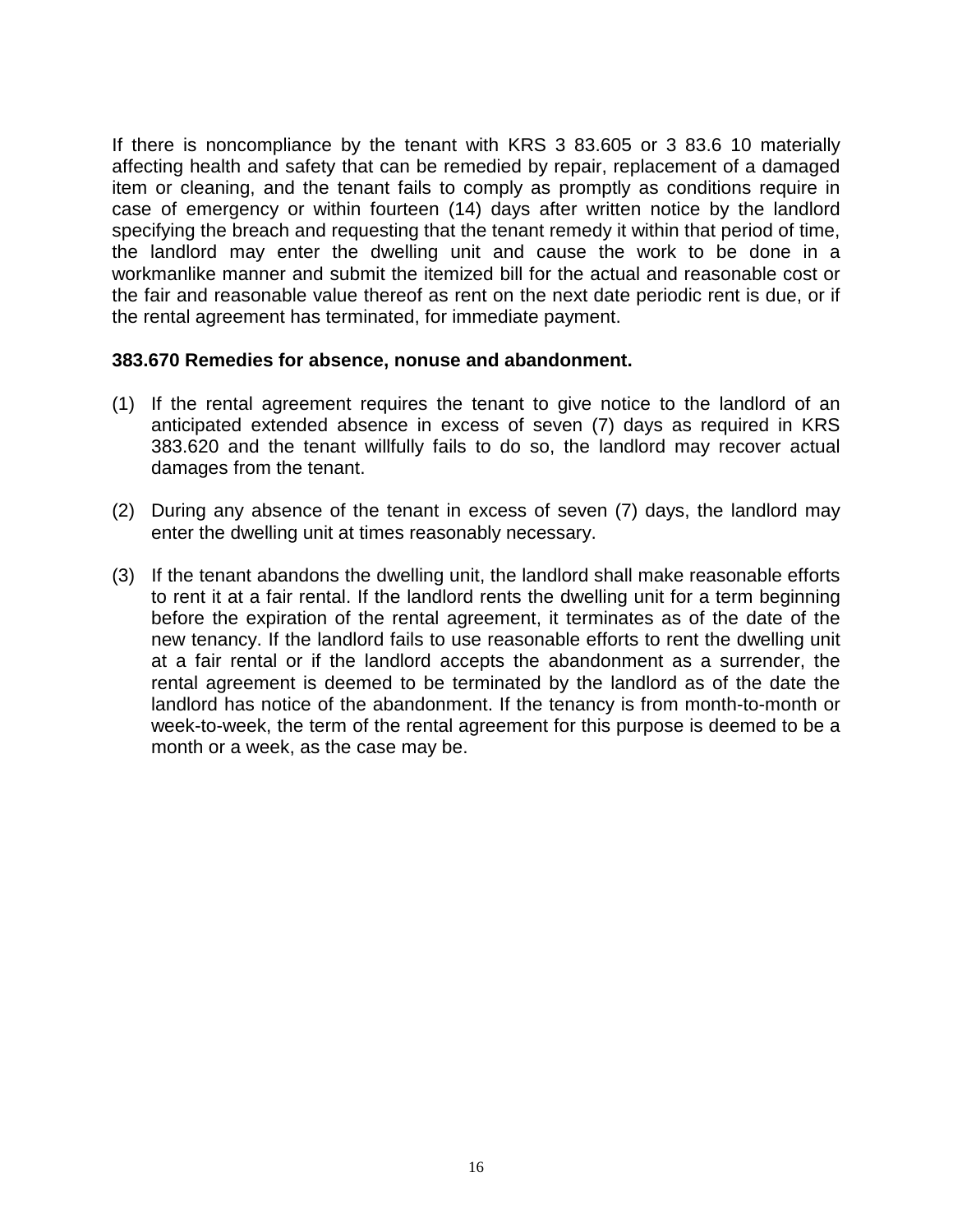<span id="page-17-0"></span>If there is noncompliance by the tenant with KRS 3 83.605 or 3 83.6 10 materially affecting health and safety that can be remedied by repair, replacement of a damaged item or cleaning, and the tenant fails to comply as promptly as conditions require in case of emergency or within fourteen (14) days after written notice by the landlord specifying the breach and requesting that the tenant remedy it within that period of time, the landlord may enter the dwelling unit and cause the work to be done in a workmanlike manner and submit the itemized bill for the actual and reasonable cost or the fair and reasonable value thereof as rent on the next date periodic rent is due, or if the rental agreement has terminated, for immediate payment.

#### **383.670 Remedies for absence, nonuse and abandonment.**

- (1) If the rental agreement requires the tenant to give notice to the landlord of an anticipated extended absence in excess of seven (7) days as required in KRS 383.620 and the tenant willfully fails to do so, the landlord may recover actual damages from the tenant.
- (2) During any absence of the tenant in excess of seven (7) days, the landlord may enter the dwelling unit at times reasonably necessary.
- (3) If the tenant abandons the dwelling unit, the landlord shall make reasonable efforts to rent it at a fair rental. If the landlord rents the dwelling unit for a term beginning before the expiration of the rental agreement, it terminates as of the date of the new tenancy. If the landlord fails to use reasonable efforts to rent the dwelling unit at a fair rental or if the landlord accepts the abandonment as a surrender, the rental agreement is deemed to be terminated by the landlord as of the date the landlord has notice of the abandonment. If the tenancy is from month-to-month or week-to-week, the term of the rental agreement for this purpose is deemed to be a month or a week, as the case may be.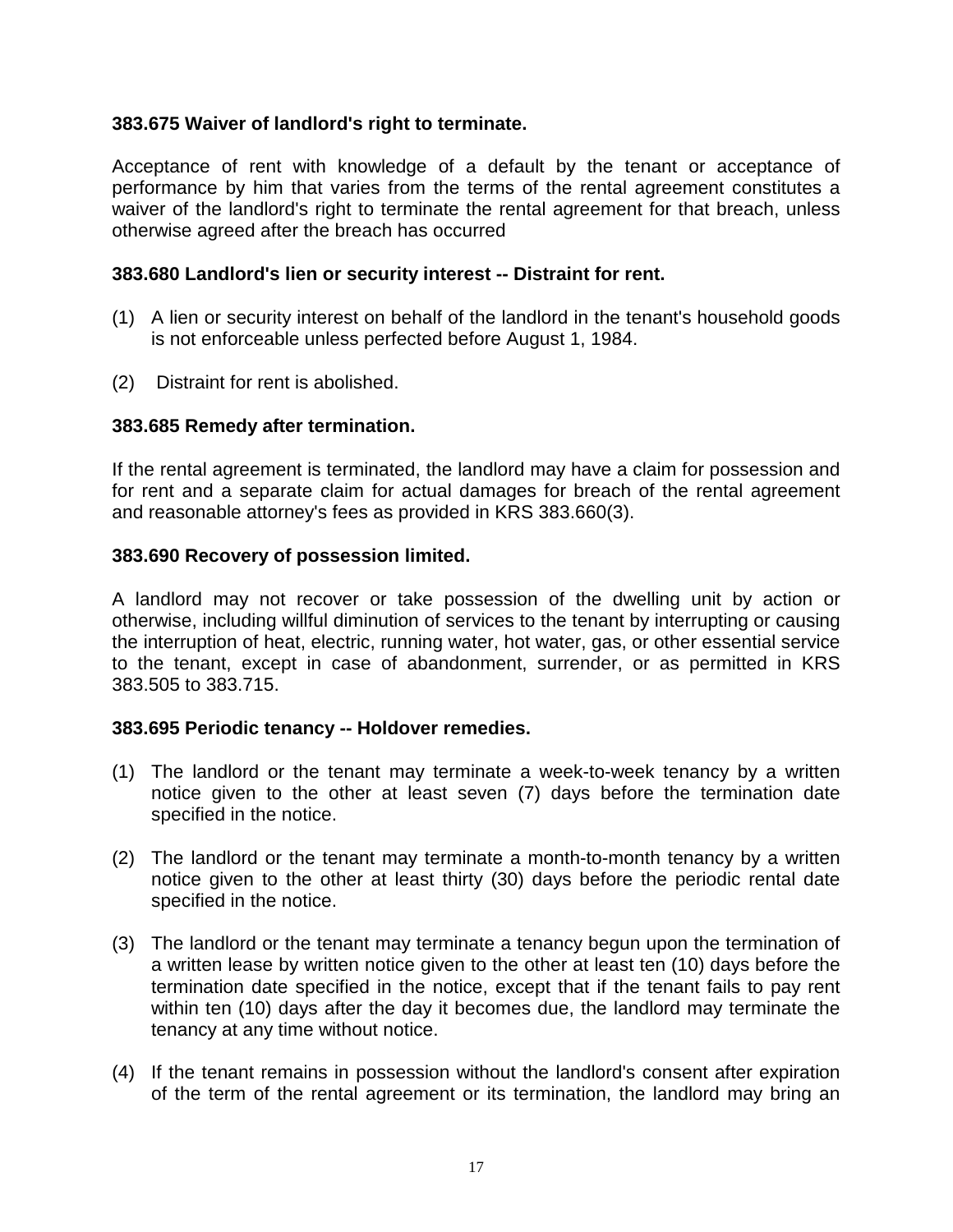#### <span id="page-18-0"></span>**383.675 Waiver of landlord's right to terminate.**

Acceptance of rent with knowledge of a default by the tenant or acceptance of performance by him that varies from the terms of the rental agreement constitutes a waiver of the landlord's right to terminate the rental agreement for that breach, unless otherwise agreed after the breach has occurred

#### **383.680 Landlord's lien or security interest -- Distraint for rent.**

- (1) A lien or security interest on behalf of the landlord in the tenant's household goods is not enforceable unless perfected before August 1, 1984.
- (2) Distraint for rent is abolished.

#### **383.685 Remedy after termination.**

If the rental agreement is terminated, the landlord may have a claim for possession and for rent and a separate claim for actual damages for breach of the rental agreement and reasonable attorney's fees as provided in KRS 383.660(3).

#### **383.690 Recovery of possession limited.**

A landlord may not recover or take possession of the dwelling unit by action or otherwise, including willful diminution of services to the tenant by interrupting or causing the interruption of heat, electric, running water, hot water, gas, or other essential service to the tenant, except in case of abandonment, surrender, or as permitted in KRS 383.505 to 383.715.

#### **383.695 Periodic tenancy -- Holdover remedies.**

- (1) The landlord or the tenant may terminate a week-to-week tenancy by a written notice given to the other at least seven (7) days before the termination date specified in the notice.
- (2) The landlord or the tenant may terminate a month-to-month tenancy by a written notice given to the other at least thirty (30) days before the periodic rental date specified in the notice.
- (3) The landlord or the tenant may terminate a tenancy begun upon the termination of a written lease by written notice given to the other at least ten (10) days before the termination date specified in the notice, except that if the tenant fails to pay rent within ten (10) days after the day it becomes due, the landlord may terminate the tenancy at any time without notice.
- (4) If the tenant remains in possession without the landlord's consent after expiration of the term of the rental agreement or its termination, the landlord may bring an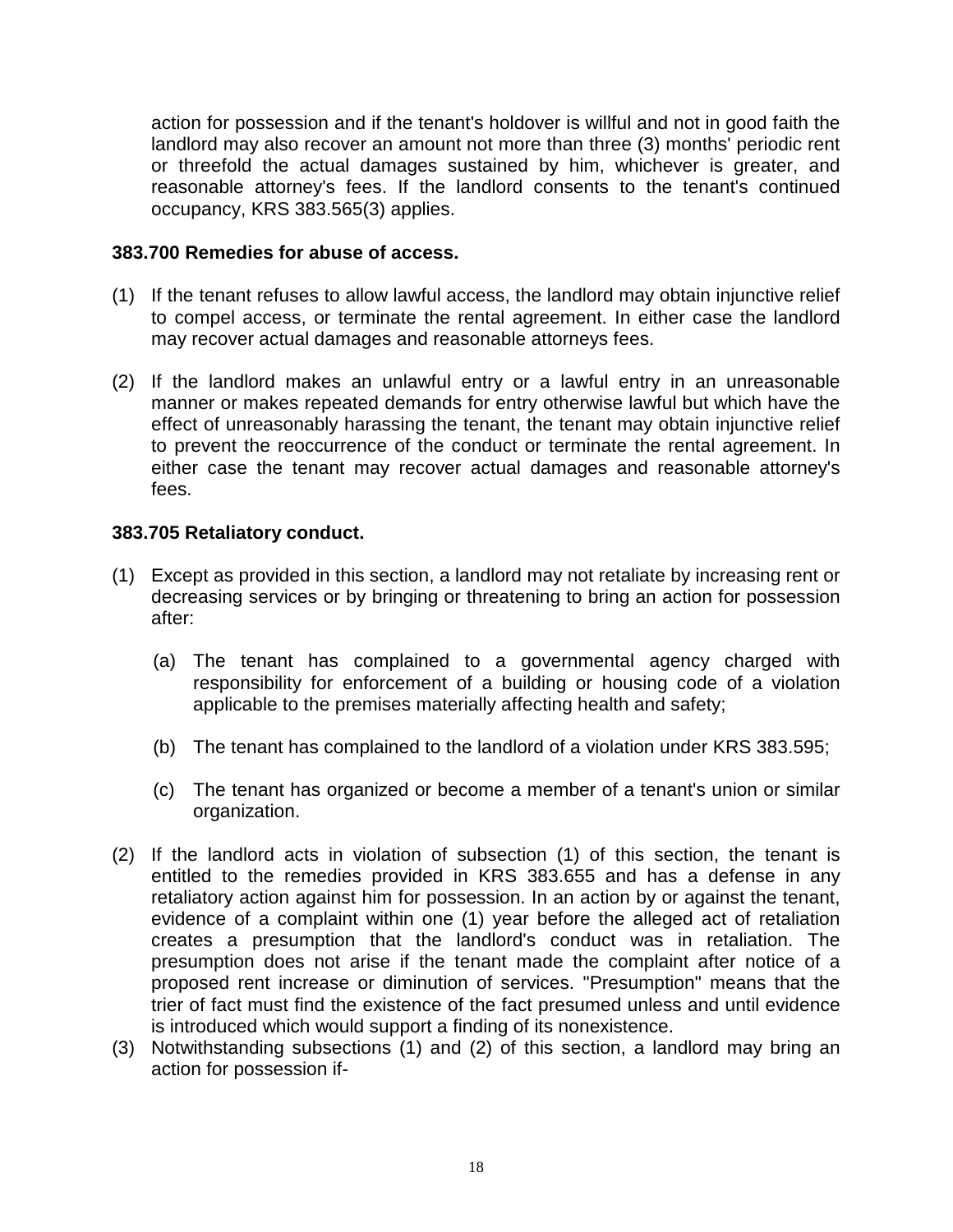<span id="page-19-0"></span>action for possession and if the tenant's holdover is willful and not in good faith the landlord may also recover an amount not more than three (3) months' periodic rent or threefold the actual damages sustained by him, whichever is greater, and reasonable attorney's fees. If the landlord consents to the tenant's continued occupancy, KRS 383.565(3) applies.

#### **383.700 Remedies for abuse of access.**

- (1) If the tenant refuses to allow lawful access, the landlord may obtain injunctive relief to compel access, or terminate the rental agreement. In either case the landlord may recover actual damages and reasonable attorneys fees.
- (2) If the landlord makes an unlawful entry or a lawful entry in an unreasonable manner or makes repeated demands for entry otherwise lawful but which have the effect of unreasonably harassing the tenant, the tenant may obtain injunctive relief to prevent the reoccurrence of the conduct or terminate the rental agreement. In either case the tenant may recover actual damages and reasonable attorney's fees.

#### **383.705 Retaliatory conduct.**

- (1) Except as provided in this section, a landlord may not retaliate by increasing rent or decreasing services or by bringing or threatening to bring an action for possession after:
	- (a) The tenant has complained to a governmental agency charged with responsibility for enforcement of a building or housing code of a violation applicable to the premises materially affecting health and safety;
	- (b) The tenant has complained to the landlord of a violation under KRS 383.595;
	- (c) The tenant has organized or become a member of a tenant's union or similar organization.
- (2) If the landlord acts in violation of subsection (1) of this section, the tenant is entitled to the remedies provided in KRS 383.655 and has a defense in any retaliatory action against him for possession. In an action by or against the tenant, evidence of a complaint within one (1) year before the alleged act of retaliation creates a presumption that the landlord's conduct was in retaliation. The presumption does not arise if the tenant made the complaint after notice of a proposed rent increase or diminution of services. "Presumption" means that the trier of fact must find the existence of the fact presumed unless and until evidence is introduced which would support a finding of its nonexistence.
- (3) Notwithstanding subsections (1) and (2) of this section, a landlord may bring an action for possession if-